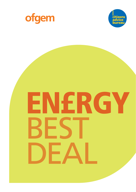



# ENERGY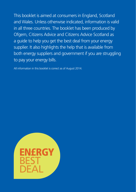This booklet is aimed at consumers in England, Scotland and Wales. Unless otherwise indicated, information is valid in all three countries. The booklet has been produced by Ofgem, Citizens Advice and Citizens Advice Scotland as a guide to help you get the best deal from your energy supplier. It also highlights the help that is available from both energy suppliers and government if you are struggling to pay your energy bills.

All information in this booklet is correct as of August 2014.

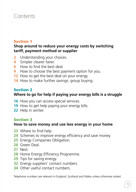## **Contents**

#### Section 1

#### **Shop around to reduce your energy costs by switching tariff, payment method or supplier**

- Understanding your choices.
- Simpler clearer fairer.
- How to find the best deal.
- How to choose the best payment option for you.
- How to get the best deal on your energy.
- How to make further savings: group buying.

#### Section 2

## **Where to go for help if paying your energy bills is a struggle**

- How you can access special services.
- 19 How to get help paying your energy bills.
- Help in winter.

#### Section 3

#### **How to save money and use less energy in your home**

- Where to find help.
- Schemes to improve energy efficiency and save money.
- Energy Companies Obligation.
- Green Deal.
- Nest.
- Home Energy Efficiency Programme.
- Tips for saving energy.
- Energy suppliers' contact numbers.
- Other useful contact numbers.

Telephone numbers are relevant in England, Scotland and Wales unless otherwise stated.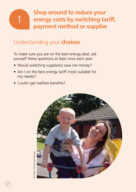

**Shop around to reduce your energy costs by switching tariff, payment method or supplier**

# Understanding your **choices**

To make sure you are on the best energy deal, ask yourself these questions at least once each year:

- Would switching supplier(s) save me money?
- Am I on the best energy tariff (most suitable for my needs)?
- Could I get welfare benefits?

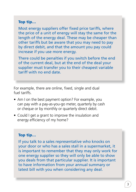#### Top tip…

Most energy suppliers offer fixed price tariffs, where the price of a unit of energy will stay the same for the length of the energy deal. These may be cheaper than other tariffs but be aware that you may need to pay by direct debit, and that the amount you pay could increase if you use more energy.

There could be penalties if you switch before the end of the current deal, but at the end of the deal your supplier must transfer you to their cheapest variable tariff with no end date.

For example, there are online, fixed, single and dual fuel tariffs.

- Am I on the best payment option? For example, you can pay with a pay-as-you-go meter, quarterly by cash or cheque or by monthly or quarterly direct debit.
- Could I get a grant to improve the insulation and energy efficiency of my home?

#### Top tip…

If you talk to a sales representative who knocks on your door or who has a sales stall in a supermarket, it is important to remember that they may only work for one energy supplier so they will only be able to show you deals from that particular supplier. It is important to have information from your annual summary or latest bill with you when considering any deal.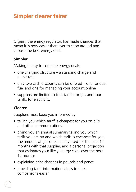# **Simpler clearer fairer**

Ofgem, the energy regulator, has made changes that mean it is now easier than ever to shop around and choose the best energy deal.

## **Simpler**

Making it easy to compare energy deals:

- one charging structure  $-$  a standing charge and a unit rate
- only two cash discounts can be offered  $-$  one for dual fuel and one for managing your account online
- suppliers are limited to four tariffs for gas and four tariffs for electricity.

## **Clearer**

Suppliers must keep you informed by:

- telling you which tariff is cheapest for you on bills and other communications
- giving you an annual summary telling you which tariff you are on and which tariff is cheapest for you, the amount of gas or electricity used for the past 12 months with that supplier, and a personal projection that estimates your likely energy costs over the next 12 months
- explaining price changes in pounds and pence
- providing tariff information labels to make comparisons easier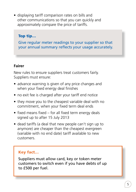• displaying tariff comparison rates on bills and other communications so that you can quickly and approximately compare the price of tariffs.

## Top tip…

Give regular meter readings to your supplier so that your annual summary reflects your usage accurately.

#### **Fairer**

New rules to ensure suppliers treat customers fairly. Suppliers must ensure:

- advance warning is given of any price changes and when your fixed energy deal finishes
- no exit fee is charged after your tariff end notice
- they move you to the cheapest variable deal with no commitment, when your fixed term deal ends
- $\bullet$  fixed means fixed for all fixed term energy deals signed up to after 15 July 2013
- dead tariffs (a deal that new people can't sign up to anymore) are cheaper than the cheapest evergreen (variable with no end date) tariff available to new customers.

## Key fact…

Suppliers must allow card, key or token meter customers to switch even if you have debts of up to £500 per fuel.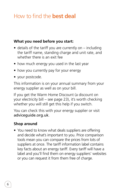# How to find the **best deal**

#### **What you need before you start:**

- details of the tariff you are currently on  $-$  including the tariff name, standing charge and unit rate, and whether there is an exit fee
- how much energy you used in the last year
- how you currently pay for your energy
- your postcode.

This information is on your annual summary from your energy supplier as well as on your bill.

If you get the Warm Home Discount (a discount on your electricity bill – see page 23), it's worth checking whether you will still get this help if you switch.

You can check this with your energy supplier or visit adviceguide.org.uk.

#### **Shop around**

• You need to know what deals suppliers are offering and decide what's important to you. Price comparison tools mean you can compare the prices from lots of suppliers at once. The tariff information label contains key facts about an energy tariff. Every tariff will have a label and you'll find them on energy suppliers' websites or you can request it from them free of charge.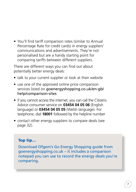• You'll find tariff comparison rates (similar to Annual Percentage Rate for credit cards) in energy suppliers' communications and advertisements. They're not personalised but are a handy starting point for comparing tariffs between different suppliers.

There are different ways you can find out about potentially better energy deals:

- talk to your current supplier or look at their website
- use one of the approved online price comparison services listed on goenergyshopping.co.uk/en-gb/ help/comparison-sites
- if you cannot access the internet, you can call the Citizens Advice consumer service on **03454 04 05 06** (English language) or **03454 04 05 05** (Welsh language). For textphone, dial **18001** followed by the helpline number
- contact other energy suppliers to compare deals (see page 32).

#### Top tip…

Download Ofgem's Go Energy Shopping guide from goenergyshopping.co.uk – it includes a comparison notepad you can use to record the energy deals you're comparing.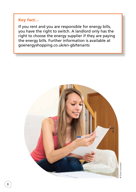## Key fact…

If you rent and you are responsible for energy bills, you have the right to switch. A landlord only has the right to choose the energy supplier if they are paying the energy bills. Further information is available at goenergyshopping.co.uk/en-gb/tenants



8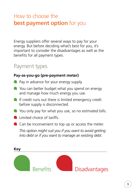# How to choose the **best payment option** for you

Energy suppliers offer several ways to pay for your energy. But before deciding what's best for you, it's important to consider the disadvantages as well as the benefits for all payment types.

## Payment types

#### **Pay-as-you-go (pre-payment meter)**

- **Pay** in advance for your energy supply.
- **C** You can better budget what you spend on energy and manage how much energy you use.
- $\blacksquare$  If credit runs out there is limited emergency credit before supply is disconnected.
- You only pay for what you use, so no estimated bills.
- **Limited choice of tariffs.**
- Can be inconvenient to top up or access the meter.

*This option might suit you if you want to avoid getting into debt or if you want to manage an existing debt.*

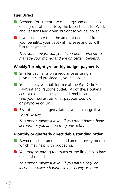## **Fuel Direct**

- **Payment for current use of energy and debt is taken** directly out of benefits by the Department for Work and Pensions and given straight to your supplier.
- If you use more than the amount deducted from your benefits, your debt will increase and so will future payments.

*This option might suit you if you find it difficult to manage your money and are on certain benefits.*

## **Weekly/fortnightly/monthly budget payments**

- Smaller payments on a regular basis using a payment card provided by your supplier.
- You can pay your bill for free at the Post Office, PayPoint and Payzone outlets. All of these outlets accept cash, cheques and credit/debit cards. Find your nearest outlet at paypoint.co.uk or payzone.co.uk.
- $\blacksquare$  Risk of being charged a late payment charge if you forget to pay.

*This option might suit you if you don't have a bank account, or you are repaying any debts.*

#### **Monthly or quarterly direct debit/standing order**

- **P** Payment is the same time and amount every month, which may help with budgeting.
- You may be paying too much or too little if bills have been estimated.

*This option might suit you if you have a regular income or have a bank/building society account.*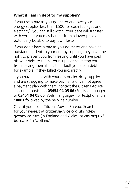## **What if I am in debt to my supplier?**

If you use a pay-as-you-go meter and owe your energy supplier less than £500 for each fuel (gas and electricity), you can still switch. Your debt will transfer with you but you may benefit from a lower price and potentially be able to pay it off faster.

If you don't have a pay-as-you-go meter and have an outstanding debt to your energy supplier, they have the right to prevent you from leaving until you have paid off your debt to them. Your supplier can't stop you from leaving them if it is their fault you are in debt, for example, if they billed you incorrectly.

If you have a debt with your gas or electricity supplier and are struggling to make payments or cannot agree a payment plan with them, contact the Citizens Advice consumer service on **03454 04 05 06** (English language) or **03454 04 05 05** (Welsh language). For textphone, dial **18001** followed by the helpline number.

Or visit your local Citizens Advice Bureau. Search for your nearest at citizensadvice.org.uk/index/ getadvice.htm (in England and Wales) or cas.org.uk/ bureaux (in Scotland).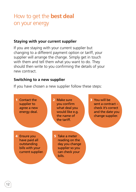# How to get the **best deal** on your energy

#### **Staying with your current supplier**

If you are staying with your current supplier but changing to a different payment option or tariff, your supplier will arrange the change. Simply get in touch with them and tell them what you want to do. They should then write to you confirming the details of your new contract.

#### **Switching to a new supplier**

If you have chosen a new supplier follow these steps:

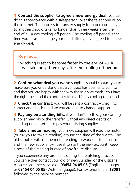**1 Contact the supplier to agree a new energy deal:** you can do this face-to-face with a salesperson, over the telephone or on the internet. The process to transfer supply from one company to another should take no longer than three weeks after the end of a 14 day cooling-off period. The cooling-off period is the time you have to change your mind after you've agreed to a new energy deal.

## Key fact…

Switching is set to become faster by the end of 2014. It will take only three days after the cooling-off period.

2 **Confirm what deal you want:** suppliers should contact you to make sure you understand that a contract has been entered into and that you are happy with the way the sale was made. You have the right to cancel the contract within a 14 day cooling-off period.

**3 Check the contract:** you will be sent a contract – check it's correct and check the date you are due to change supplier.

4 **Pay any outstanding bills:** if you don't do this, your existing supplier may block the transfer. Cancel any direct debits or standing orders set up to pay your existing supplier.

**5** Take a meter reading: your new supplier will read the meter (or ask you to take a reading) around the time of the switch. The old supplier will use the meter reading to work out the final bill and the new supplier will use it to start the new account. Keep a note of the reading in case of any future dispute.

If you experience any problems during the switching process you can either contact your old or new supplier or the Citizens Advice consumer service on **03454 04 05 06** (English language) or **03454 04 05 05** (Welsh language). For textphone, dial **18001** followed by the helpline number.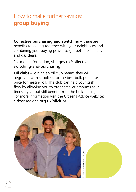# How to make further savings: **group buying**

**Collective purchasing and switching –** there are benefits to joining together with your neighbours and combining your buying power to get better electricity and gas deals.

For more information, visit gov.uk/collectiveswitching-and-purchasing.

**Oil clubs –** joining an oil club means they will negotiate with suppliers for the best bulk purchase price for heating oil. The club can help your cash flow by allowing you to order smaller amounts four times a year but still benefit from the bulk pricing. For more information visit the Citizens Advice website: citizensadvice.org.uk/oilclubs.



Citizens Advice/Justin Piperger © Citizens Advice/Justin Piperger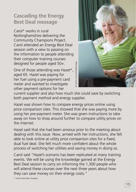## **Cascading the Energy Best Deal message**

Carol\* works in rural Nottinghamshire delivering the Community Champions Project. Carol attended an Energy Best Deal session with a view to passing on the information to people attending their computer training courses designed for people aged 50+.

One of those attending was Hazel\*, aged 65. Hazel was paying for her fuel using a pre-payment card meter and wanted to investigate other payment options for her



current supplier and also how much she could save by switching both payment method and energy supplier.

Hazel was shown how to compare energy prices online using price comparison sites. This showed that she was paying more by using her pre-payment meter. She was given instructions to take away on how to shop around further to compare utility prices on the internet.

Hazel said that she had been anxious prior to the meeting about dealing with this issue. Now, armed with her instructions, she felt able to look online at utility price comparison sites for a fixed, dual fuel deal. She felt much more confident about the whole process of switching her utilities and saving money in doing so.

Carol said "Hazel's scenario has been replicated at many training events. We will be using the knowledge gained at the Energy Best Deal session to carry on informing the 1,300 people who will attend these courses over the next three years about how they can save money on their energy costs."

\* names have been changed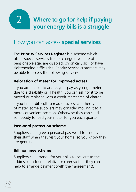2

**Where to go for help if paying your energy bills is a struggle** 

## How you can access **special services**

The **Priority Services Register** is a scheme which offers special services free of charge if you are of pensionable age, are disabled, chronically sick or have sight/hearing difficulties. Priority Service customers may be able to access the following services:

## **Relocation of meter for improved access**

If you are unable to access your pay-as-you-go meter due to a disability or ill health, you can ask for it to be moved or replaced with a credit meter free of charge.

If you find it difficult to read or access another type of meter, some suppliers may consider moving it to a more convenient position. Otherwise they can send somebody to read your meter for you each quarter.

#### **Password protection scheme**

Suppliers can agree a personal password for use by their staff when they visit your home, so you know they are genuine.

## **Bill nominee scheme**

Suppliers can arrange for your bills to be sent to the address of a friend, relative or carer so that they can help to arrange payment (with their agreement).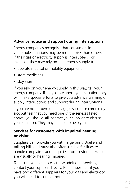## **Advance notice and support during interruptions**

Energy companies recognise that consumers in vulnerable situations may be more at risk than others if their gas or electricity supply is interrupted. For example, they may rely on their energy supply to:

- operate medical or mobility equipment
- store medicines
- stay warm.

If you rely on your energy supply in this way, tell your energy company. If they know about your situation they will make special efforts to give you advance warning of supply interruptions and support during interruptions.

If you are not of pensionable age, disabled or chronically sick but feel that you need one of the services listed above, you should still contact your supplier to discuss your situation. They may be able to help you.

#### **Services for customers with impaired hearing or vision**

Suppliers can provide you with large print, Braille and talking bills and must also offer suitable facilities to handle complaints and enquiries from customers who are visually or hearing impaired.

To ensure you can access these additional services, contact your supplier directly. Remember that if you have two different suppliers for your gas and electricity, you will need to contact both.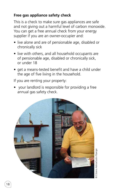## **Free gas appliance safety check**

This is a check to make sure gas appliances are safe and not giving out a harmful level of carbon monoxide. You can get a free annual check from your energy supplier if you are an owner-occupier and:

- live alone and are of pensionable age, disabled or chronically sick
- live with others, and all household occupants are of pensionable age, disabled or chronically sick, or under 18
- get a means-tested benefit and have a child under the age of five living in the household.

If you are renting your property:

• vour landlord is responsible for providing a free annual gas safety check.

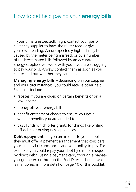# How to get help paying your **energy bills**

If your bill is unexpectedly high, contact your gas or electricity supplier to have the meter read or give your own reading. An unexpectedly high bill may be caused by the meter being misread, or by a number of underestimated bills followed by an accurate bill. Energy suppliers will work with you if you are struggling to pay your bills. Always contact them as soon as you can to find out whether they can help.

**Managing energy bills –** depending on your supplier and your circumstances, you could receive other help. Examples include:

- rebates if you are older, on certain benefits or on a low income
- money off your energy bill
- benefit entitlement checks to ensure you get all welfare benefits you are entitled to
- trust funds which offer grants for things like writing off debts or buying new appliances.

**Debt repayment –** if you are in debt to your supplier, they must offer a payment arrangement that considers your financial circumstances and your ability to pay. For example, you could repay your debt by cash or cheque, by direct debit, using a payment card, through a pay-asyou-go meter, or through the Fuel Direct scheme, which is mentioned in more detail on page 10 of this booklet.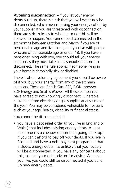**Avoiding disconnection –** if you let your energy debts build up, there is a risk that you will eventually be disconnected, which means having your energy cut off by your supplier. If you are threatened with disconnection, there are strict rules as to whether or not this will be allowed to happen. You cannot be disconnected in the six months between October and March if you are of pensionable age and live alone, or if you live with people who are of pensionable age or under 18. If you have a pensioner living with you, you should tell your energy supplier as they must take all reasonable steps not to disconnect. The same rule applies if someone living in your home is chronically sick or disabled.

There is also a voluntary agreement you should be aware of if you buy your energy from any of the six main suppliers. These are British Gas, SSE, E.ON, npower, EDF Energy and ScottishPower. All these companies have agreed to not knowingly disconnect vulnerable customers from electricity or gas supplies at any time of the year. You may be considered vulnerable for reasons such as your age, health, disability or financial status.

You cannot be disconnected if:

• you have a debt relief order (if you live in England or Wales) that includes existing energy debts. A debt relief order is a cheaper option than going bankrupt if you can't afford to pay off your debts. If you live in Scotland and have a debt payment programme that includes energy debts, it's unlikely that your supply will be disconnected. If you have any concerns about this, contact your debt adviser for advice. Wherever you live, you could still be disconnected if you build up new energy debts.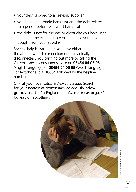- your debt is owed to a previous supplier
- you have been made bankrupt and the debt relates to a period before you went bankrupt
- the debt is not for the gas or electricity you have used but for some other service or appliance you have bought from your supplier.

Specific help is available if you have either been threatened with disconnection or have actually been disconnected. You can find out more by calling the Citizens Advice consumer service on **03454 04 05 06** (English language) or **03454 04 05 05** (Welsh language). For textphone, dial **18001** followed by the helpline number.

Or visit your local Citizens Advice Bureau. Search for your nearest at citizensadvice.org.uk/index/ getadvice.htm (in England and Wales) or cas.org.uk/ bureaux (in Scotland).

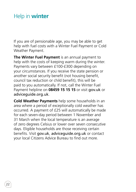# Help in **winter**

If you are of pensionable age, you may be able to get help with fuel costs with a Winter Fuel Payment or Cold Weather Payment.

**The Winter Fuel Payment** is an annual payment to help with the costs of keeping warm during the winter. Payments vary between £100-£300 depending on your circumstances. If you receive the state pension or another social security benefit (not housing benefit. council tax reduction or child benefit), this will be paid to you automatically. If not, call the Winter Fuel Payment helpline on 08459 15 15 15 or visit gov.uk or adviceguide.org.uk.

**Cold Weather Payments** help some households in an area where a period of exceptionally cold weather has occurred. A payment of £25 will automatically be made for each seven-day period between 1 November and 31 March when the local temperature is an average of zero degrees Celsius or lower over seven consecutive days. Eligible households are those receiving certain benefits. Visit gov.uk, adviceguide.org.uk or contact your local Citizens Advice Bureau to find out more.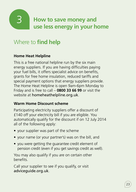

# Where to **find help**

## **Home Heat Helpline**

This is a free national helpline run by the six main energy suppliers. If you are having difficulties paying your fuel bills, it offers specialist advice on benefits, grants for free home insulation, reduced tariffs and special payment options that energy suppliers provide. The Home Heat Helpline is open 9am-6pm Monday to Friday and is free to call – **0800 33 66 99** or visit the website at homeheathelpline.org.uk.

#### **Warm Home Discount scheme**

Participating electricity suppliers offer a discount of £140 off your electricity bill if you are eligible. You automatically qualify for the discount if on 12 July 2014 all of the following apply:

- your supplier was part of the scheme
- your name (or your partner's) was on the bill, and
- you were getting the guarantee credit element of pension credit (even if you get savings credit as well).

You may also qualify if you are on certain other benefits. 

Call your supplier to see if you qualify, or visit adviceguide.org.uk.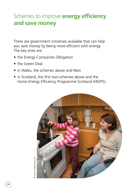# Schemes to improve **energy efficiency and save money**

There are government initiatives available that can help you save money by being more efficient with energy. The key ones are:

- the Energy Companies Obligation
- the Green Deal
- in Wales, the schemes above and Nest
- in Scotland, the first two schemes above and the Home Energy Efficiency Programme Scotland (HEEPS).

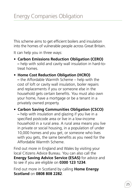This scheme aims to get efficient boilers and insulation into the homes of vulnerable people across Great Britain.

It can help you in three ways:

• **Carbon Emissions Reduction Obligation (CERO) –** help with solid and cavity wall insulation in hard-totreat homes.

#### • **Home Cost Reduction Obligation (HCRO)**   $-$  the Affordable Warmth Scheme – help with the cost of loft or cavity wall insulation, boiler repairs and replacements if you or someone else in the household gets certain benefits. You must also own your home, have a mortgage or be a tenant in a privately owned property.

• **Carbon Saving Communities Obligation (CSCO) –** help with insulation and glazing if you live in a specified postcode area or live in a low-income household in a rural area. A rural area means you live in private or social housing, in a population of under 10,000 homes and you get, or someone who lives with you gets, the same benefits as you need for the Affordable Warmth Scheme.

Find out more in England and Wales by visiting your local Citizens Advice Bureau. You can also call the **Energy Saving Advice Service (ESAS)** for advice and to see if you are eligible on **0300 123 1234**.

Find out more in Scotland by calling **Home Energy Scotland** on **0808 808 2282**.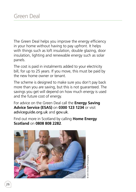The Green Deal helps you improve the energy efficiency in your home without having to pay upfront. It helps with things such as loft insulation, double glazing, door insulation, lighting and renewable energy such as solar panels.

The cost is paid in instalments added to your electricity bill, for up to 25 years. If you move, this must be paid by the new home owner or tenant.

The scheme is designed to make sure you don't pay back more than you are saving, but this is not guaranteed. The savings you get will depend on how much energy is used and the future cost of energy.

For advice on the Green Deal call the **Energy Saving Advice Service (ESAS)** on **0300 123 1234** or visit adviceguide.org.uk and gov.uk.

Find out more in Scotland by calling **Home Energy Scotland** on **0808 808 2282**.

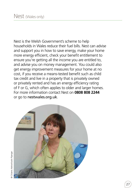Nest is the Welsh Government's scheme to help households in Wales reduce their fuel bills. Nest can advise and support you in how to save energy, make your home more energy efficient, check your benefit entitlement to ensure you're getting all the income you are entitled to, and advise you on money management. You could also get energy improvement measures for your home at no cost, if you receive a means-tested benefit such as child tax credit and live in a property that is privately owned or privately rented and has an energy efficiency rating of F or G, which often applies to older and larger homes. For more information contact Nest on **0808 808 2244** or go to nestwales.org.uk.



**Citizens Advice/Justin Piperger** © Citizens Advice/Justin Piperger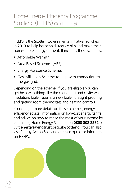HEEPS is the Scottish Government's initiative launched in 2013 to help households reduce bills and make their homes more energy efficient. It includes these schemes:

- Affordable Warmth.
- Area Based Schemes (ABS).
- Energy Assistance Scheme.
- Gas Infill Loan Scheme to help with connection to the gas grid.

Depending on the scheme, if you are eligible you can get help with things like the cost of loft and cavity wall insulation, boiler repairs, a new boiler, draught proofing and getting room thermostats and heating controls.

You can get more details on these schemes, energy efficiency advice, information on low-cost energy tariffs and advice on how to make the most of your income by contacting Home Energy Scotland on **0808 808 2282** or visit energysavingtrust.org.uk/scotland. You can also visit Energy Action Scotland at eas.org.uk for information on HEEPS.

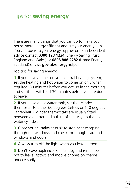# Tips for **saving energy**

There are many things that you can do to make your house more energy efficient and cut your energy bills. You can speak to your energy supplier or for independent advice contact **0300 123 1234** (Energy Saving Trust, England and Wales) or **0808 808 2282** (Home Energy Scotland) or visit gov.uk/energyhelp.

Top tips for saving energy:

1 If you have a timer on your central heating system, set the heating and hot water to come on only when required: 30 minutes before you get up in the morning and set it to switch off 30 minutes before you are due to leave.

2 If you have a hot water tank, set the cylinder thermostat to either 60 degrees Celsius or 140 degrees Fahrenheit. Cylinder thermostats are usually fitted between a quarter and a third of the way up the hot water cylinder.

**3** Close your curtains at dusk to stop heat escaping through the windows and check for draughts around windows and doors.

4 Always turn off the light when you leave a room.

**5** Don't leave appliances on standby and remember not to leave laptops and mobile phones on charge unnecessarily.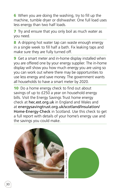**6** When you are doing the washing, try to fill up the machine, tumble dryer or dishwasher. One full load uses less energy than two half loads.

**7** Try and ensure that you only boil as much water as you need.

8 A dripping hot water tap can waste enough energy in a single week to fill half a bath. Fix leaking taps and make sure they are fully turned off.

**9** Get a smart meter and in-home display installed when you are offered one by your energy supplier. The in-home display will show you how much energy you are using so you can work out where there may be opportunities to use less energy and save money. The government wants all households to have a smart meter by 2020.

**10** Do a home energy check to find out about savings of up to £250 a year on household energy bills. Visit the Energy Savings Trust home energy check at hec.est.org.uk in England and Wales and at energysavingtrust.org.uk/scotland/Insulation/ Home-Energy-Check in Scotland. Use this check to get a full report with details of your home's energy use and the savings you could make.

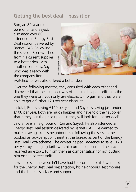## **Getting the best deal – pass it on**

Ron, an 80 year old pensioner, and Sayed, also aged over 60, attended an Energy Best Deal session delivered by Barnet CAB. Following the session Ron switched from his current supplier to a better deal with another company. Sayed, who was already with the company Ron had



switched to, was also offered a better deal.

Over the following months, they consulted with each other and discovered that their supplier was offering a cheaper tariff than the one they were on. Both only use electricity (no gas) and they were able to get a further £20 per year discount.

In total, Ron is saving £140 per year and Sayed is saving just under £100 per year. Both are much happier and have told their supplier that if they put the price up again they will look for a better deal!

Lawrence is a neighbour of Ron and Sayed. He also attended an Energy Best Deal session delivered by Barnet CAB. He wanted to make a saving like his neighbours so, following the session, he booked an advice appointment at the bureau as part of the Energy Best Deal Extra scheme. The adviser helped Lawrence to save £120 per year by changing tariff with his current supplier and he also received an extra £10 from them as compensation for not putting him on the correct tariff.

Lawrence said he wouldn't have had the confidence if it were not for the Energy Best Deal presentation, his neighbours' testimonies and the bureau's advice and support.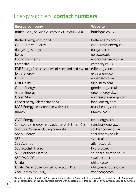# Energy suppliers' **contact numbers**

| <b>Energy company</b>                                | <b>Website</b>          |
|------------------------------------------------------|-------------------------|
| British Gas (including customers of Scottish Gas)    | britishgas.co.uk        |
| Better Energy (gas only)                             | betterenergy.org.uk     |
| Co-operative Energy                                  | cooperativeenergy.coop  |
| daligas (gas only)                                   | daligas.co.uk           |
| Ebico                                                | ebico.org.uk            |
| <b>Economy Energy</b>                                | economyenergy.co.uk     |
| Ecotricity                                           | ecotricity.co.uk        |
| EDF Energy (incl. customers of Seeboard and SWEB)    | edfenergy.com           |
| Extra Energy                                         | extraenergy.com         |
| E.ON                                                 | eonenergy.com           |
| <b>First Utility</b>                                 | first-utility.com       |
| Good Energy                                          | goodenergy.co.uk        |
| Green Energy                                         | greenenergy.uk.com      |
| Green Star                                           | mygreenstarenergy.com   |
| Loco2Energy (electricity only)                       | loco2energy.com         |
| M&S Energy (in association with SSE)                 | mandsenergy.com         |
| npower                                               | npower.com              |
| OVO Energy                                           | ovoenergy.com           |
| Sainsbury's Energy (in association with British Gas) | sainsburysenergy.com    |
| Scottish Power (including Manweb)                    | scottishpower.co.uk     |
| Spark Energy                                         | sparkenergy.co.uk       |
| <b>SSE</b>                                           | sse.co.uk               |
| <b>SSE Atlantic</b>                                  | atlantic.co.uk          |
| SSE Scottish Hydro                                   | hydro.co.uk             |
| <b>SSE Southern Electric</b>                         | southern-electric.co.uk |
| <b>SSE SWALEC</b>                                    | swalec.co.uk            |
| Utilita                                              | utilita.co.uk           |
| Utility Warehouse (owned by Telecom Plus)            | utilitywarehouse.co.uk  |
| Zog Energy (gas only)                                | zogenergy.com           |
|                                                      |                         |

\* Numbers starting with 01 or 02 are typically charged up to 9p per minute if you call from a landline; calls from mobiles free at certain times of the day. Numbers starting with 03 cost no more than calls to 01 or 02 numbers. Calls to 03 numbers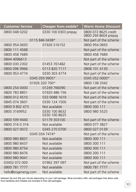| <b>Customer Service</b> | Cheaper from mobile*           | <b>Warm Home Discount</b>                    |
|-------------------------|--------------------------------|----------------------------------------------|
| 0800 048 0202           | 0330 100 0303 prepay           | 0800 072 8625 credit<br>0800 294 8604 prepay |
|                         | 0115 846 0438*                 | Not part of the scheme                       |
| 0800 954 0693           | 01926 516152                   | 0800 954 0693                                |
| 0800 111 4568           |                                | Not part of the scheme                       |
| 0800 458 7689           |                                | 0800 458 7689                                |
| 0844 4096613            |                                | Not part of the scheme                       |
| 0800 030 2302           | 01453 761482                   | Not part of the scheme                       |
| 0800 096 9966           | 0113 820 7117                  | 0808 101 4130                                |
| 0800 953 4774           | 0330 303 4774                  | Not part of the scheme                       |
| 0345 059 9905*          |                                | 0345 052 0000*                               |
| 01926 320 700*          |                                | 0800 138 3342                                |
| 0800 254 0000           | 01249 766090                   | Not part of the scheme                       |
| 0800 783 8851           | 01920 486 156                  | Not part of the scheme                       |
| 0800 012 4510           | 033 0088 1619                  | Not part of the scheme                       |
| 0845 074 3601           | 0330 124 1500                  | Not part of the scheme                       |
| 0800 9 802 473          | Not available                  | 0800 300 111                                 |
| 0800 3169952            | 0330 100 8632<br>0330 100 8625 | 0800 980 5525                                |
| 0800 599 9440           | 01179 303100                   | Not part of the scheme                       |
| 0800 316 0 316          | Not available                  | 0800 077 3827                                |
| 0800 027 0072           | 0345 270 0700                  | 0800 027 0139                                |
| 0345 034 7474*          |                                | Not part of the scheme                       |
| 0800 980 8831           | Not available                  | 0800 300 111                                 |
| 0800 980 8437           | Not available                  | 0800 300 111                                 |
| 0800 980 8754           | Not available                  | 0800 300 111                                 |
| 0800 980 8476           | Not available                  | 0800 300 111                                 |
| 0800 980 9041           | Not available                  | 0800 300 111                                 |
| 03452 072 000           | 01962 397 097                  | Not part of the scheme                       |
| 0800 781 7777           | Not available                  | 0800 781 7777                                |
| hello@zogenergy.com     | Not available                  | Not part of the scheme                       |

between 8p and 40p per minute depending on your call package. Most providers offer call packages that allow calls from landlines and mobiles are included in free call packages.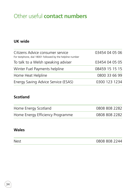# Other useful **contact numbers**

#### **UK wide**

| Citizens Advice consumer service<br>For textphone, dial 18001 followed by the helpline number | 03454 04 05 06 |
|-----------------------------------------------------------------------------------------------|----------------|
| To talk to a Welsh speaking adviser                                                           | 03454 04 05 05 |
| Winter Fuel Payments helpline                                                                 | 08459 15 15 15 |
| Home Heat Helpline                                                                            | 0800 33 66 99  |
| Energy Saving Advice Service (ESAS)                                                           | 0300 123 1234  |

#### **Scotland**

| Home Energy Scotland             | 0808 808 2282 |
|----------------------------------|---------------|
| Home Energy Efficiency Programme | 0808 808 2282 |

#### **Wales**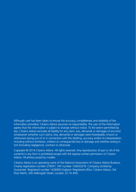Although care has been taken to ensure the accuracy, completeness and reliability of the information provided, Citizens Advice assumes no responsibility. The user of the information agrees that the information is subject to change without notice. To the extent permitted by law, Citizens Advice excludes all liability for any claim, loss, demands or damages of any kind whatsoever (whether such claims, loss, demands or damages were foreseeable, known or otherwise) arising out of or in connection with the drafting, accuracy and/or its interpretation, including without limitation, indirect or consequential loss or damage and whether arising in tort (including negligence), contract or otherwise.

Copyright © 2014 Citizens Advice. All rights reserved. Any reproduction of part or all of the contents in any form is prohibited except with the express written permission of Citizens Advice. All photos posed by models.

Citizens Advice is an operating name of the National Association of Citizens Advice Bureaux, Charity registration number 279057. VAT number 726020276. Company Limited by Guarantee. Registered number 1436945 England. Registered office: Citizens Advice, 3rd Floor North, 200 Aldersgate Street, London, EC1A 4HD.